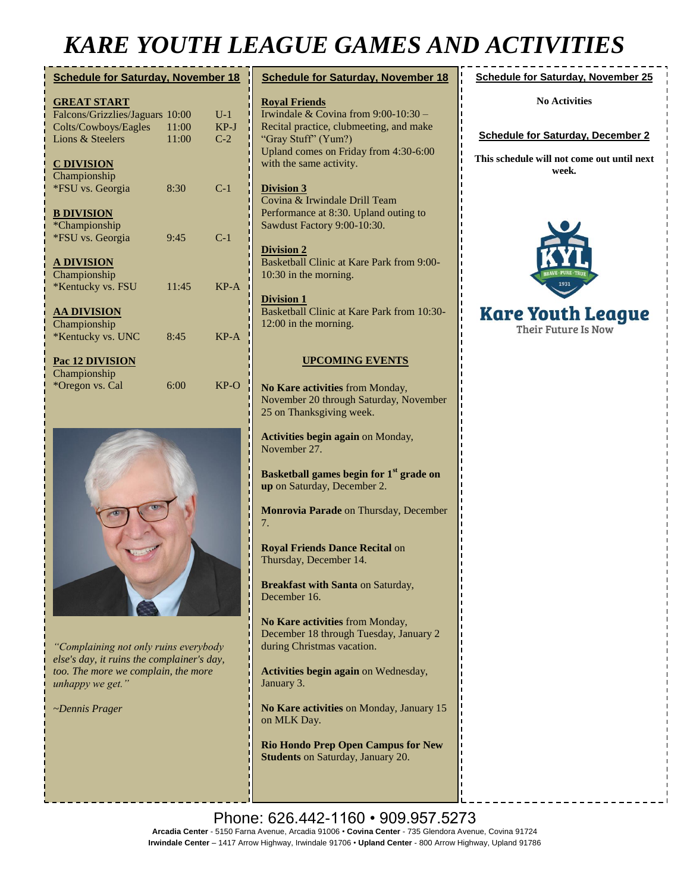## *KARE YOUTH LEAGUE GAMES AND ACTIVITIES*

| <b>Schedule for Saturday, November 18</b> |       |        |
|-------------------------------------------|-------|--------|
| <b>GREAT START</b>                        |       |        |
| Falcons/Grizzlies/Jaguars                 | 10:00 | $U-1$  |
| Colts/Cowboys/Eagles                      | 11:00 | $KP-J$ |
| Lions & Steelers                          | 11:00 | $C-2$  |
| <u>C DIVISION</u>                         |       |        |
| Championship                              |       |        |
| *FSU vs. Georgia                          | 8:30  | $C-1$  |
| <b>B DIVISION</b>                         |       |        |
| *Championship                             |       |        |
| *FSU vs. Georgia                          | 9:45  | $C-1$  |
| <u>A DIVISION</u>                         |       |        |
| Championship                              |       |        |
| *Kentucky vs. FSU                         | 11:45 | $KP-A$ |
| <b>AA DIVISION</b>                        |       |        |
| Championship                              |       |        |
| *Kentucky vs. UNC                         | 8:45  | $KP-A$ |
| Pac 12 DIVISION                           |       |        |
| Championship                              |       |        |
| *Oregon vs. Cal                           | 6:00  | $KP-O$ |



*"Complaining not only ruins everybody else's day, it ruins the complainer's day, too. The more we complain, the more unhappy we get."*

*~Dennis Prager*

| <u>18</u>                             | <b>Schedule for Saturday, November 18</b>                                                                                                                                                            | <b>Sched</b>             |
|---------------------------------------|------------------------------------------------------------------------------------------------------------------------------------------------------------------------------------------------------|--------------------------|
| 1<br>$\overline{I}$<br>$\overline{2}$ | <b>Royal Friends</b><br>Irwindale & Covina from $9:00-10:30$ –<br>Recital practice, clubmeeting, and make<br>"Gray Stuff" (Yum?)<br>Upland comes on Friday from 4:30-6:00<br>with the same activity. | <b>Sched</b><br>This sch |
| 1                                     | <b>Division 3</b><br>Covina & Irwindale Drill Team<br>Performance at 8:30. Upland outing to<br>Sawdust Factory 9:00-10:30.                                                                           |                          |
| $\mathbf{1}$<br>$-A$                  | <b>Division 2</b><br>Basketball Clinic at Kare Park from 9:00-<br>10:30 in the morning.                                                                                                              |                          |
| $- A$                                 | <b>Division 1</b><br>Basketball Clinic at Kare Park from 10:30-<br>$12:00$ in the morning.                                                                                                           | Kai                      |
|                                       | <b>UPCOMING EVENTS</b>                                                                                                                                                                               |                          |
| $\overline{O}$                        | No Kare activities from Monday,<br>November 20 through Saturday, November<br>25 on Thanksgiving week.                                                                                                |                          |
|                                       | <b>Activities begin again on Monday,</b><br>November 27.                                                                                                                                             |                          |
|                                       | Basketball games begin for 1 <sup>st</sup> grade on<br>up on Saturday, December 2.                                                                                                                   |                          |
|                                       | Monrovia Parade on Thursday, December                                                                                                                                                                |                          |

**Royal Friends Dance Recital** on

Thursday, December 14.

7.

**Breakfast with Santa** on Saturday, December 16.

**No Kare activities** from Monday, December 18 through Tuesday, January 2 during Christmas vacation.

**Activities begin again** on Wednesday, January 3.

**No Kare activities** on Monday, January 15 on MLK Day.

**Rio Hondo Prep Open Campus for New Students** on Saturday, January 20.

**Schedule for Saturday, November 25**

**No Activities**

**Jule for Saturday, December 2** 

**This schedule will not come out until next week.**



#### re Youth League Their Future Is Now

Phone: 626.442-1160 • 909.957.5273 **Arcadia Center** - 5150 Farna Avenue, Arcadia 91006 • **Covina Center** - 735 Glendora Avenue, Covina 91724 **Irwindale Center** – 1417 Arrow Highway, Irwindale 91706 • **Upland Center** - 800 Arrow Highway, Upland 91786